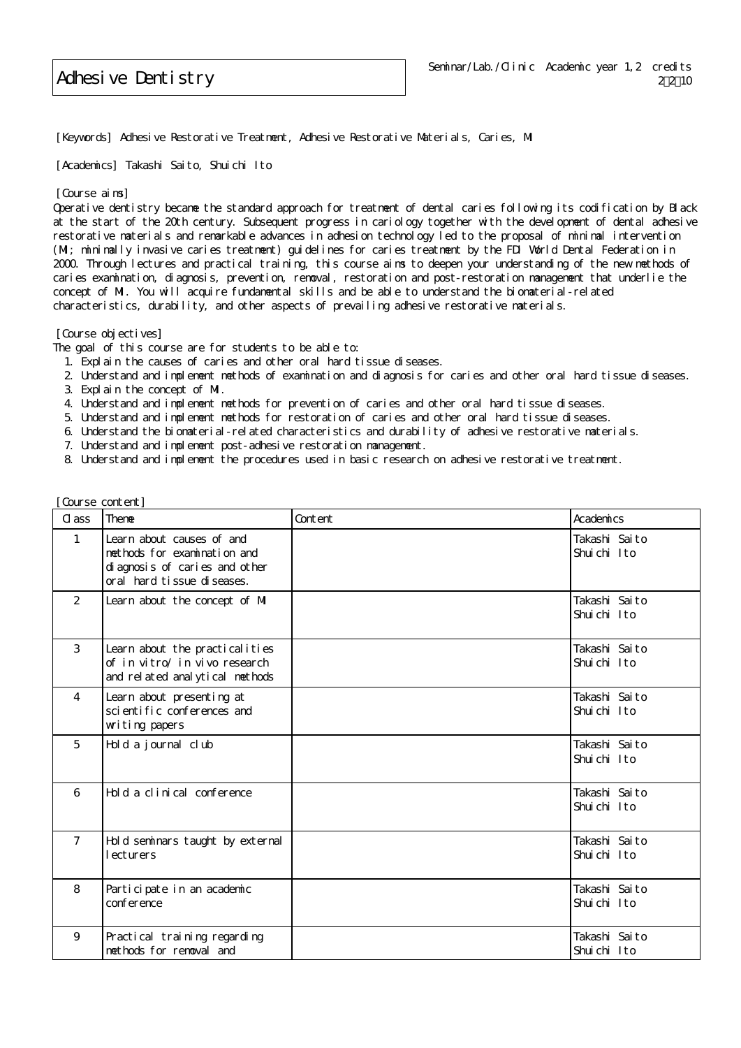Adhesive Dentistry

[Keywords] Adhesive Restorative Treatment, Adhesive Restorative Materials, Caries, MI

[Academics] Takashi Saito, Shuichi Ito

## [Course aims]

Operative dentistry became the standard approach for treatment of dental caries following its codification by Black at the start of the 20th century. Subsequent progress in cariology together with the development of dental adhesive restorative materials and remarkable advances in adhesion technology led to the proposal of minimal intervention (MI; minimally invasive caries treatment) guidelines for caries treatment by the FDI World Dental Federation in 2000. Through lectures and practical training, this course aims to deepen your understanding of the new methods of caries examination, diagnosis, prevention, removal, restoration and post-restoration management that underlie the concept of MI. You will acquire fundamental skills and be able to understand the biomaterial-related characteristics, durability, and other aspects of prevailing adhesive restorative materials.

[Course objectives]

[Course content]

The goal of this course are for students to be able to:

- 1. Explain the causes of caries and other oral hard tissue diseases.
- 2. Understand and implement methods of examination and diagnosis for caries and other oral hard tissue diseases.
- 3. Explain the concept of MI.
- 4. Understand and implement methods for prevention of caries and other oral hard tissue diseases.
- 5. Understand and implement methods for restoration of caries and other oral hard tissue diseases.
- 6. Understand the biomaterial-related characteristics and durability of adhesive restorative materials.
- 7. Understand and implement post-adhesive restoration management.
- 8. Understand and implement the procedures used in basic research on adhesive restorative treatment.

| $\alpha$ ass    | Theme                                                                                                                    | Content | Academics                    |
|-----------------|--------------------------------------------------------------------------------------------------------------------------|---------|------------------------------|
| $\mathbf{1}$    | Learn about causes of and<br>methods for examination and<br>di agnosis of caries and other<br>oral hard tissue diseases. |         | Takashi Saito<br>Shuichi Ito |
| 2               | Learn about the concept of MI                                                                                            |         | Takashi Saito<br>Shuichi Ito |
| 3               | Learn about the practical ities<br>of in vitro/ in vivo research<br>and related analytical methods                       |         | Takashi Saito<br>Shuichi Ito |
| $\overline{4}$  | Learn about presenting at<br>sci enti fi c conferences and<br>wwiting papers                                             |         | Takashi Saito<br>Shuichi Ito |
| $5\overline{5}$ | Hold a journal club                                                                                                      |         | Takashi Saito<br>Shuichi Ito |
| 6               | Hold a clinical conference                                                                                               |         | Takashi Saito<br>Shuichi Ito |
| $7^{\circ}$     | Hold seminars taught by external<br>lecturers                                                                            |         | Takashi Saito<br>Shuichi Ito |
| 8               | Participate in an academic<br>conference                                                                                 |         | Takashi Saito<br>Shuichi Ito |
| 9               | Practical training regarding<br>methods for removal and                                                                  |         | Takashi Saito<br>Shuichi Ito |